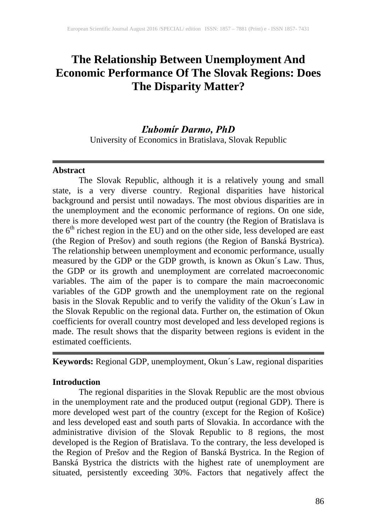# **The Relationship Between Unemployment And Economic Performance Of The Slovak Regions: Does The Disparity Matter?**

## *Ľubomír Darmo, PhD*

University of Economics in Bratislava, Slovak Republic

#### **Abstract**

The Slovak Republic, although it is a relatively young and small state, is a very diverse country. Regional disparities have historical background and persist until nowadays. The most obvious disparities are in the unemployment and the economic performance of regions. On one side, there is more developed west part of the country (the Region of Bratislava is the  $6<sup>th</sup>$  richest region in the EU) and on the other side, less developed are east (the Region of Prešov) and south regions (the Region of Banská Bystrica). The relationship between unemployment and economic performance, usually measured by the GDP or the GDP growth, is known as Okun´s Law. Thus, the GDP or its growth and unemployment are correlated macroeconomic variables. The aim of the paper is to compare the main macroeconomic variables of the GDP growth and the unemployment rate on the regional basis in the Slovak Republic and to verify the validity of the Okun´s Law in the Slovak Republic on the regional data. Further on, the estimation of Okun coefficients for overall country most developed and less developed regions is made. The result shows that the disparity between regions is evident in the estimated coefficients.

**Keywords:** Regional GDP, unemployment, Okun´s Law, regional disparities

### **Introduction**

The regional disparities in the Slovak Republic are the most obvious in the unemployment rate and the produced output (regional GDP). There is more developed west part of the country (except for the Region of Košice) and less developed east and south parts of Slovakia. In accordance with the administrative division of the Slovak Republic to 8 regions, the most developed is the Region of Bratislava. To the contrary, the less developed is the Region of Prešov and the Region of Banská Bystrica. In the Region of Banská Bystrica the districts with the highest rate of unemployment are situated, persistently exceeding 30%. Factors that negatively affect the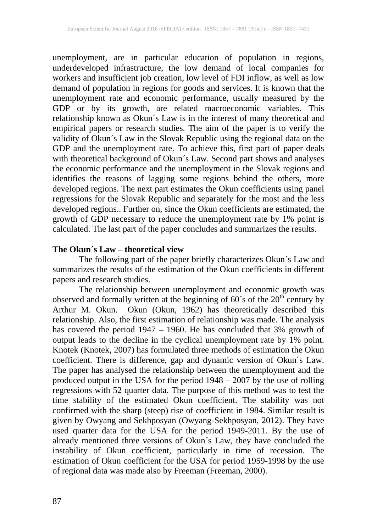unemployment, are in particular education of population in regions, underdeveloped infrastructure, the low demand of local companies for workers and insufficient job creation, low level of FDI inflow, as well as low demand of population in regions for goods and services. It is known that the unemployment rate and economic performance, usually measured by the GDP or by its growth, are related macroeconomic variables. This relationship known as Okun´s Law is in the interest of many theoretical and empirical papers or research studies. The aim of the paper is to verify the validity of Okun´s Law in the Slovak Republic using the regional data on the GDP and the unemployment rate. To achieve this, first part of paper deals with theoretical background of Okun´s Law. Second part shows and analyses the economic performance and the unemployment in the Slovak regions and identifies the reasons of lagging some regions behind the others, more developed regions. The next part estimates the Okun coefficients using panel regressions for the Slovak Republic and separately for the most and the less developed regions.. Further on, since the Okun coefficients are estimated, the growth of GDP necessary to reduce the unemployment rate by 1% point is calculated. The last part of the paper concludes and summarizes the results.

#### **The Okun´s Law – theoretical view**

The following part of the paper briefly characterizes Okun´s Law and summarizes the results of the estimation of the Okun coefficients in different papers and research studies.

The relationship between unemployment and economic growth was observed and formally written at the beginning of  $60^{\circ}$ s of the  $20^{\text{th}}$  century by Arthur M. Okun. Okun (Okun, 1962) has theoretically described this relationship. Also, the first estimation of relationship was made. The analysis has covered the period 1947 – 1960. He has concluded that 3% growth of output leads to the decline in the cyclical unemployment rate by 1% point. Knotek (Knotek, 2007) has formulated three methods of estimation the Okun coefficient. There is difference, gap and dynamic version of Okun´s Law. The paper has analysed the relationship between the unemployment and the produced output in the USA for the period 1948 – 2007 by the use of rolling regressions with 52 quarter data. The purpose of this method was to test the time stability of the estimated Okun coefficient. The stability was not confirmed with the sharp (steep) rise of coefficient in 1984. Similar result is given by Owyang and Sekhposyan (Owyang-Sekhposyan, 2012). They have used quarter data for the USA for the period 1949-2011. By the use of already mentioned three versions of Okun´s Law, they have concluded the instability of Okun coefficient, particularly in time of recession. The estimation of Okun coefficient for the USA for period 1959-1998 by the use of regional data was made also by Freeman (Freeman, 2000).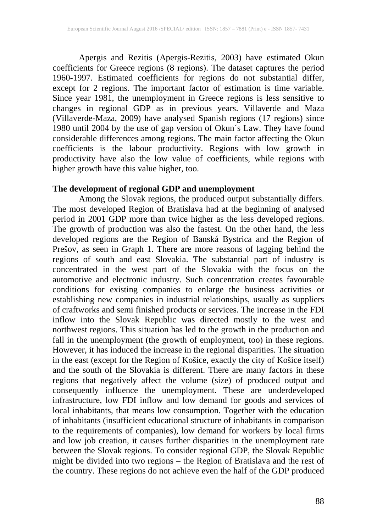Apergis and Rezitis (Apergis-Rezitis, 2003) have estimated Okun coefficients for Greece regions (8 regions). The dataset captures the period 1960-1997. Estimated coefficients for regions do not substantial differ, except for 2 regions. The important factor of estimation is time variable. Since year 1981, the unemployment in Greece regions is less sensitive to changes in regional GDP as in previous years. Villaverde and Maza (Villaverde-Maza, 2009) have analysed Spanish regions (17 regions) since 1980 until 2004 by the use of gap version of Okun´s Law. They have found considerable differences among regions. The main factor affecting the Okun coefficients is the labour productivity. Regions with low growth in productivity have also the low value of coefficients, while regions with higher growth have this value higher, too.

#### **The development of regional GDP and unemployment**

Among the Slovak regions, the produced output substantially differs. The most developed Region of Bratislava had at the beginning of analysed period in 2001 GDP more than twice higher as the less developed regions. The growth of production was also the fastest. On the other hand, the less developed regions are the Region of Banská Bystrica and the Region of Prešov, as seen in Graph 1. There are more reasons of lagging behind the regions of south and east Slovakia. The substantial part of industry is concentrated in the west part of the Slovakia with the focus on the automotive and electronic industry. Such concentration creates favourable conditions for existing companies to enlarge the business activities or establishing new companies in industrial relationships, usually as suppliers of craftworks and semi finished products or services. The increase in the FDI inflow into the Slovak Republic was directed mostly to the west and northwest regions. This situation has led to the growth in the production and fall in the unemployment (the growth of employment, too) in these regions. However, it has induced the increase in the regional disparities. The situation in the east (except for the Region of Košice, exactly the city of Košice itself) and the south of the Slovakia is different. There are many factors in these regions that negatively affect the volume (size) of produced output and consequently influence the unemployment. These are underdeveloped infrastructure, low FDI inflow and low demand for goods and services of local inhabitants, that means low consumption. Together with the education of inhabitants (insufficient educational structure of inhabitants in comparison to the requirements of companies), low demand for workers by local firms and low job creation, it causes further disparities in the unemployment rate between the Slovak regions. To consider regional GDP, the Slovak Republic might be divided into two regions – the Region of Bratislava and the rest of the country. These regions do not achieve even the half of the GDP produced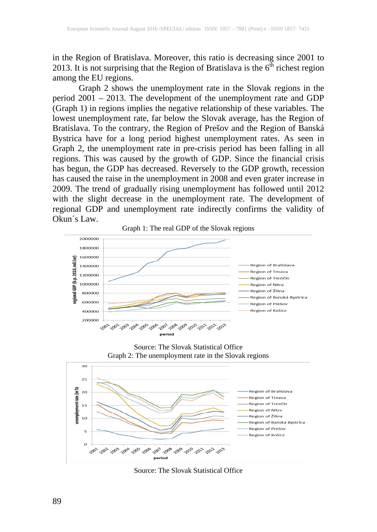in the Region of Bratislava. Moreover, this ratio is decreasing since 2001 to 2013. It is not surprising that the Region of Bratislava is the  $6<sup>th</sup>$  richest region among the EU regions.

Graph 2 shows the unemployment rate in the Slovak regions in the period 2001 – 2013. The development of the unemployment rate and GDP (Graph 1) in regions implies the negative relationship of these variables. The lowest unemployment rate, far below the Slovak average, has the Region of Bratislava. To the contrary, the Region of Prešov and the Region of Banská Bystrica have for a long period highest unemployment rates. As seen in Graph 2, the unemployment rate in pre-crisis period has been falling in all regions. This was caused by the growth of GDP. Since the financial crisis has begun, the GDP has decreased. Reversely to the GDP growth, recession has caused the raise in the unemployment in 2008 and even grater increase in 2009. The trend of gradually rising unemployment has followed until 2012 with the slight decrease in the unemployment rate. The development of regional GDP and unemployment rate indirectly confirms the validity of Okun´s Law. Graph 1: The real GDP of the Slovak regions



Source: The Slovak Statistical Office Graph 2: The unemployment rate in the Slovak regions



Source: The Slovak Statistical Office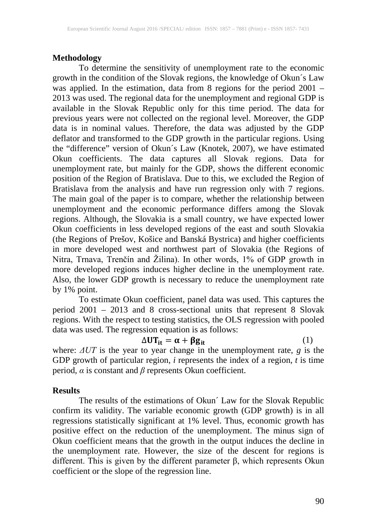#### **Methodology**

To determine the sensitivity of unemployment rate to the economic growth in the condition of the Slovak regions, the knowledge of Okun´s Law was applied. In the estimation, data from 8 regions for the period 2001 – 2013 was used. The regional data for the unemployment and regional GDP is available in the Slovak Republic only for this time period. The data for previous years were not collected on the regional level. Moreover, the GDP data is in nominal values. Therefore, the data was adjusted by the GDP deflator and transformed to the GDP growth in the particular regions. Using the "difference" version of Okun´s Law (Knotek, 2007), we have estimated Okun coefficients. The data captures all Slovak regions. Data for unemployment rate, but mainly for the GDP, shows the different economic position of the Region of Bratislava. Due to this, we excluded the Region of Bratislava from the analysis and have run regression only with 7 regions. The main goal of the paper is to compare, whether the relationship between unemployment and the economic performance differs among the Slovak regions. Although, the Slovakia is a small country, we have expected lower Okun coefficients in less developed regions of the east and south Slovakia (the Regions of Prešov, Košice and Banská Bystrica) and higher coefficients in more developed west and northwest part of Slovakia (the Regions of Nitra, Trnava, Trenčín and Žilina). In other words, 1% of GDP growth in more developed regions induces higher decline in the unemployment rate. Also, the lower GDP growth is necessary to reduce the unemployment rate by 1% point.

To estimate Okun coefficient, panel data was used. This captures the period 2001 – 2013 and 8 cross-sectional units that represent 8 Slovak regions. With the respect to testing statistics, the OLS regression with pooled data was used. The regression equation is as follows:

## $\Delta \mathbf{U} \mathbf{T}_{it} = \boldsymbol{\alpha} + \boldsymbol{\beta} \mathbf{g}_{it}$  (1)

where: *ΔUT* is the year to year change in the unemployment rate, *g* is the GDP growth of particular region,  $i$  represents the index of a region,  $\tilde{t}$  is time period, *α* is constant and *β* represents Okun coefficient.

#### **Results**

The results of the estimations of Okun´ Law for the Slovak Republic confirm its validity. The variable economic growth (GDP growth) is in all regressions statistically significant at 1% level. Thus, economic growth has positive effect on the reduction of the unemployment. The minus sign of Okun coefficient means that the growth in the output induces the decline in the unemployment rate. However, the size of the descent for regions is different. This is given by the different parameter β, which represents Okun coefficient or the slope of the regression line.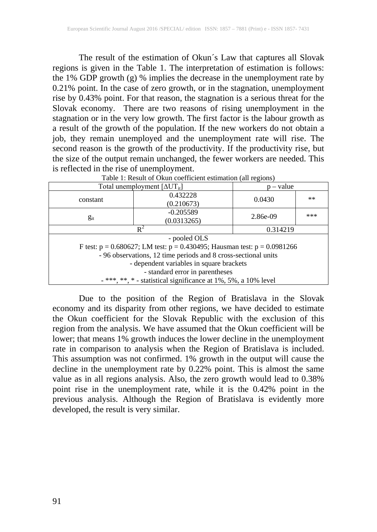The result of the estimation of Okun´s Law that captures all Slovak regions is given in the Table 1. The interpretation of estimation is follows: the 1% GDP growth (g) % implies the decrease in the unemployment rate by 0.21% point. In the case of zero growth, or in the stagnation, unemployment rise by 0.43% point. For that reason, the stagnation is a serious threat for the Slovak economy. There are two reasons of rising unemployment in the stagnation or in the very low growth. The first factor is the labour growth as a result of the growth of the population. If the new workers do not obtain a job, they remain unemployed and the unemployment rate will rise. The second reason is the growth of the productivity. If the productivity rise, but the size of the output remain unchanged, the fewer workers are needed. This is reflected in the rise of unemployment. Table 1: Result of Okun coefficient estimation (all regions)

| Total unemployment $[\Delta UT_{it}]$                                            |                            | $-$ value |       |  |
|----------------------------------------------------------------------------------|----------------------------|-----------|-------|--|
| constant                                                                         | 0.432228                   | 0.0430    | $***$ |  |
|                                                                                  | (0.210673)                 |           |       |  |
| $g_{it}$                                                                         | $-0.205589$<br>(0.0313265) | 2.86e-09  | ***   |  |
|                                                                                  |                            |           |       |  |
| $R^2$                                                                            |                            | 0.314219  |       |  |
| - pooled OLS                                                                     |                            |           |       |  |
| F test: $p = 0.680627$ ; LM test: $p = 0.430495$ ; Hausman test: $p = 0.0981266$ |                            |           |       |  |
| - 96 observations, 12 time periods and 8 cross-sectional units                   |                            |           |       |  |
| - dependent variables in square brackets                                         |                            |           |       |  |
| - standard error in parentheses                                                  |                            |           |       |  |
| $-***$ , **, * - statistical significance at 1%, 5%, a 10% level                 |                            |           |       |  |

Due to the position of the Region of Bratislava in the Slovak economy and its disparity from other regions, we have decided to estimate the Okun coefficient for the Slovak Republic with the exclusion of this region from the analysis. We have assumed that the Okun coefficient will be lower; that means 1% growth induces the lower decline in the unemployment rate in comparison to analysis when the Region of Bratislava is included. This assumption was not confirmed. 1% growth in the output will cause the decline in the unemployment rate by 0.22% point. This is almost the same value as in all regions analysis. Also, the zero growth would lead to 0.38% point rise in the unemployment rate, while it is the 0.42% point in the previous analysis. Although the Region of Bratislava is evidently more developed, the result is very similar.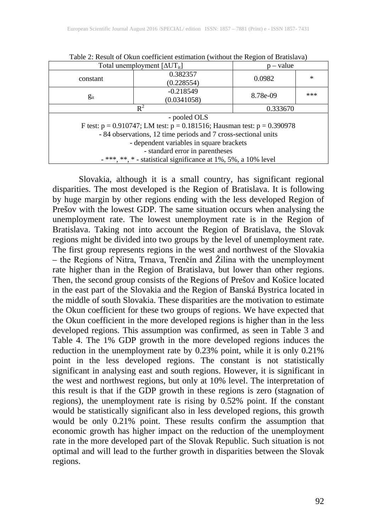| Total unemployment $[\Delta UT_{it}]$                                           |                            | $p - value$ |        |  |
|---------------------------------------------------------------------------------|----------------------------|-------------|--------|--|
| constant                                                                        | 0.382357<br>(0.228554)     | 0.0982      | $\ast$ |  |
| $g_{it}$                                                                        | $-0.218549$<br>(0.0341058) | 8.78e-09    | ***    |  |
| $R^2$                                                                           |                            | 0.333670    |        |  |
| - pooled OLS                                                                    |                            |             |        |  |
| F test: $p = 0.910747$ ; LM test: $p = 0.181516$ ; Hausman test: $p = 0.390978$ |                            |             |        |  |
| - 84 observations, 12 time periods and 7 cross-sectional units                  |                            |             |        |  |
| - dependent variables in square brackets                                        |                            |             |        |  |
| - standard error in parentheses                                                 |                            |             |        |  |
| - ***, **, * - statistical significance at 1%, 5%, a 10% level                  |                            |             |        |  |

Table 2: Result of Okun coefficient estimation (without the Region of Bratislava)

Slovakia, although it is a small country, has significant regional disparities. The most developed is the Region of Bratislava. It is following by huge margin by other regions ending with the less developed Region of Prešov with the lowest GDP. The same situation occurs when analysing the unemployment rate. The lowest unemployment rate is in the Region of Bratislava. Taking not into account the Region of Bratislava, the Slovak regions might be divided into two groups by the level of unemployment rate. The first group represents regions in the west and northwest of the Slovakia – the Regions of Nitra, Trnava, Trenčín and Žilina with the unemployment rate higher than in the Region of Bratislava, but lower than other regions. Then, the second group consists of the Regions of Prešov and Košice located in the east part of the Slovakia and the Region of Banská Bystrica located in the middle of south Slovakia. These disparities are the motivation to estimate the Okun coefficient for these two groups of regions. We have expected that the Okun coefficient in the more developed regions is higher than in the less developed regions. This assumption was confirmed, as seen in Table 3 and Table 4. The 1% GDP growth in the more developed regions induces the reduction in the unemployment rate by 0.23% point, while it is only 0.21% point in the less developed regions. The constant is not statistically significant in analysing east and south regions. However, it is significant in the west and northwest regions, but only at 10% level. The interpretation of this result is that if the GDP growth in these regions is zero (stagnation of regions), the unemployment rate is rising by 0.52% point. If the constant would be statistically significant also in less developed regions, this growth would be only 0.21% point. These results confirm the assumption that economic growth has higher impact on the reduction of the unemployment rate in the more developed part of the Slovak Republic. Such situation is not optimal and will lead to the further growth in disparities between the Slovak regions.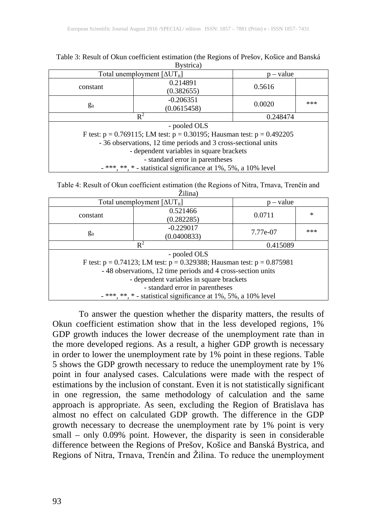| Total unemployment $[\Delta UT_{it}]$                                          |                            | – value       |  |  |
|--------------------------------------------------------------------------------|----------------------------|---------------|--|--|
| constant                                                                       | 0.214891<br>(0.382655)     | 0.5616        |  |  |
| $g_{it}$                                                                       | $-0.206351$<br>(0.0615458) | ***<br>0.0020 |  |  |
| $R^2$                                                                          |                            | 0.248474      |  |  |
| - pooled OLS                                                                   |                            |               |  |  |
| F test: $p = 0.769115$ ; LM test: $p = 0.30195$ ; Hausman test: $p = 0.492205$ |                            |               |  |  |
| - 36 observations, 12 time periods and 3 cross-sectional units                 |                            |               |  |  |
| - dependent variables in square brackets                                       |                            |               |  |  |
| - standard error in parentheses                                                |                            |               |  |  |
| $-$ ***, **, * - statistical significance at 1%, 5%, a 10% level               |                            |               |  |  |

Table 3: Result of Okun coefficient estimation (the Regions of Prešov, Košice and Banská Bystrica)

| Table 4: Result of Okun coefficient estimation (the Regions of Nitra, Trnava, Trenčín and |  |  |  |
|-------------------------------------------------------------------------------------------|--|--|--|
| Žilina)                                                                                   |  |  |  |

| Total unemployment $[\Delta UT_{it}]$                                                          |                            | – value  |        |  |
|------------------------------------------------------------------------------------------------|----------------------------|----------|--------|--|
| constant                                                                                       | 0.521466<br>(0.282285)     | 0.0711   | $\ast$ |  |
| $g_{it}$                                                                                       | $-0.229017$<br>(0.0400833) | 7.77e-07 | ***    |  |
| $\mathbb{R}^2$                                                                                 |                            | 0.415089 |        |  |
| - pooled OLS<br>F test: $p = 0.74123$ ; LM test: $p = 0.329388$ ; Hausman test: $p = 0.875981$ |                            |          |        |  |
| -48 observations, 12 time periods and 4 cross-section units                                    |                            |          |        |  |
| - dependent variables in square brackets                                                       |                            |          |        |  |
| - standard error in parentheses                                                                |                            |          |        |  |
| $-$ ***, **, * - statistical significance at 1%, 5%, a 10% level                               |                            |          |        |  |

To answer the question whether the disparity matters, the results of Okun coefficient estimation show that in the less developed regions, 1% GDP growth induces the lower decrease of the unemployment rate than in the more developed regions. As a result, a higher GDP growth is necessary in order to lower the unemployment rate by 1% point in these regions. Table 5 shows the GDP growth necessary to reduce the unemployment rate by 1% point in four analysed cases. Calculations were made with the respect of estimations by the inclusion of constant. Even it is not statistically significant in one regression, the same methodology of calculation and the same approach is appropriate. As seen, excluding the Region of Bratislava has almost no effect on calculated GDP growth. The difference in the GDP growth necessary to decrease the unemployment rate by 1% point is very small – only 0.09% point. However, the disparity is seen in considerable difference between the Regions of Prešov, Košice and Banská Bystrica, and Regions of Nitra, Trnava, Trenčín and Žilina. To reduce the unemployment